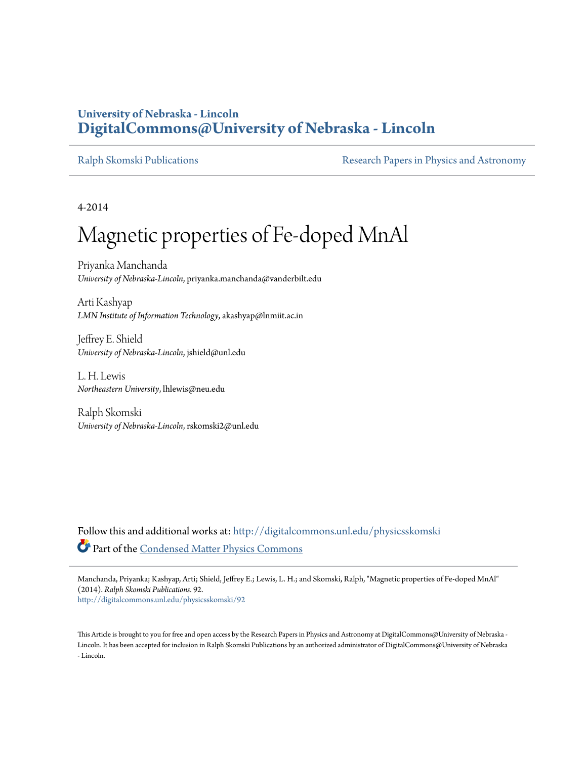### **University of Nebraska - Lincoln [DigitalCommons@University of Nebraska - Lincoln](http://digitalcommons.unl.edu?utm_source=digitalcommons.unl.edu%2Fphysicsskomski%2F92&utm_medium=PDF&utm_campaign=PDFCoverPages)**

[Ralph Skomski Publications](http://digitalcommons.unl.edu/physicsskomski?utm_source=digitalcommons.unl.edu%2Fphysicsskomski%2F92&utm_medium=PDF&utm_campaign=PDFCoverPages) **[Research Papers in Physics and Astronomy](http://digitalcommons.unl.edu/physicsresearch?utm_source=digitalcommons.unl.edu%2Fphysicsskomski%2F92&utm_medium=PDF&utm_campaign=PDFCoverPages)** 

4-2014

# Magnetic properties of Fe-doped MnAl

Priyanka Manchanda *University of Nebraska-Lincoln*, priyanka.manchanda@vanderbilt.edu

Arti Kashyap *LMN Institute of Information Technology*, akashyap@lnmiit.ac.in

Jeffrey E. Shield *University of Nebraska-Lincoln*, jshield@unl.edu

L. H. Lewis *Northeastern University*, lhlewis@neu.edu

Ralph Skomski *University of Nebraska-Lincoln*, rskomski2@unl.edu

Follow this and additional works at: [http://digitalcommons.unl.edu/physicsskomski](http://digitalcommons.unl.edu/physicsskomski?utm_source=digitalcommons.unl.edu%2Fphysicsskomski%2F92&utm_medium=PDF&utm_campaign=PDFCoverPages) Part of the [Condensed Matter Physics Commons](http://network.bepress.com/hgg/discipline/197?utm_source=digitalcommons.unl.edu%2Fphysicsskomski%2F92&utm_medium=PDF&utm_campaign=PDFCoverPages)

Manchanda, Priyanka; Kashyap, Arti; Shield, Jeffrey E.; Lewis, L. H.; and Skomski, Ralph, "Magnetic properties of Fe-doped MnAl" (2014). *Ralph Skomski Publications*. 92.

[http://digitalcommons.unl.edu/physicsskomski/92](http://digitalcommons.unl.edu/physicsskomski/92?utm_source=digitalcommons.unl.edu%2Fphysicsskomski%2F92&utm_medium=PDF&utm_campaign=PDFCoverPages)

This Article is brought to you for free and open access by the Research Papers in Physics and Astronomy at DigitalCommons@University of Nebraska - Lincoln. It has been accepted for inclusion in Ralph Skomski Publications by an authorized administrator of DigitalCommons@University of Nebraska - Lincoln.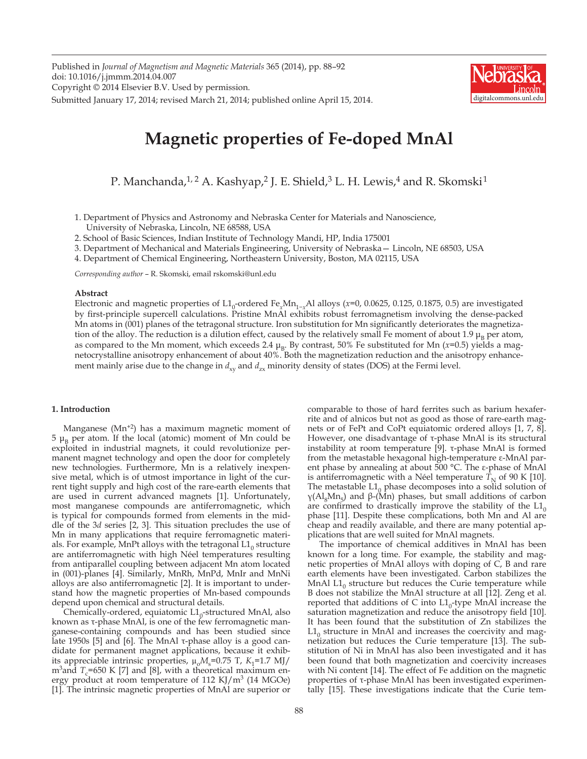Published in *Journal of Magnetism and Magnetic Materials* 365 (2014), pp. 88–92 doi: 10.1016/j.jmmm.2014.04.007 Copyright © 2014 Elsevier B.V. Used by permission. Submitted January 17, 2014; revised March 21, 2014; published online April 15, 2014.



## **Magnetic properties of Fe-doped MnAl**

P. Manchanda,<sup>1, 2</sup> A. Kashyap,<sup>2</sup> J. E. Shield,<sup>3</sup> L. H. Lewis,<sup>4</sup> and R. Skomski<sup>1</sup>

1. Department of Physics and Astronomy and Nebraska Center for Materials and Nanoscience, University of Nebraska, Lincoln, NE 68588, USA

2. School of Basic Sciences, Indian Institute of Technology Mandi, HP, India 175001

3. Department of Mechanical and Materials Engineering, University of Nebraska— Lincoln, NE 68503, USA

4. Department of Chemical Engineering, Northeastern University, Boston, MA 02115, USA

*Corresponding author* – R. Skomski, email rskomski@unl.edu

#### **Abstract**

Electronic and magnetic properties of L1<sub>0</sub>-ordered Fe<sub>x</sub>Mn<sub>1-x</sub>Al alloys (*x*=0, 0.0625, 0.125, 0.1875, 0.5) are investigated by first-principle supercell calculations. Pristine MnAl exhibits robust ferromagnetism involving the dense-packed Mn atoms in (001) planes of the tetragonal structure. Iron substitution for Mn significantly deteriorates the magnetization of the alloy. The reduction is a dilution effect, caused by the relatively small Fe moment of about 1.9  $\mu_B$  per atom, as compared to the Mn moment, which exceeds 2.4  $\mu_R$ . By contrast, 50% Fe substituted for Mn ( $x=0.5$ ) yields a magnetocrystalline anisotropy enhancement of about 40%. Both the magnetization reduction and the anisotropy enhancement mainly arise due to the change in  $d_{xx}$  and  $d_{zx}$  minority density of states (DOS) at the Fermi level.

#### **1. Introduction**

Manganese  $(Mn^{2})$  has a maximum magnetic moment of  $5 \mu_B$  per atom. If the local (atomic) moment of Mn could be exploited in industrial magnets, it could revolutionize permanent magnet technology and open the door for completely new technologies. Furthermore, Mn is a relatively inexpensive metal, which is of utmost importance in light of the current tight supply and high cost of the rare-earth elements that are used in current advanced magnets [1]. Unfortunately, most manganese compounds are antiferromagnetic, which is typical for compounds formed from elements in the middle of the 3*d* series [2, 3]. This situation precludes the use of Mn in many applications that require ferromagnetic materials. For example, MnPt alloys with the tetragonal  $L1_0$  structure are antiferromagnetic with high Néel temperatures resulting from antiparallel coupling between adjacent Mn atom located in (001)-planes [4]. Similarly, MnRh, MnPd, MnIr and MnNi alloys are also antiferromagnetic [2]. It is important to understand how the magnetic properties of Mn-based compounds depend upon chemical and structural details.

Chemically-ordered, equiatomic  $L1_0$ -structured MnAl, also known as τ-phase MnAl, is one of the few ferromagnetic manganese-containing compounds and has been studied since late 1950s [5] and [6]. The MnAl τ-phase alloy is a good candidate for permanent magnet applications, because it exhibits appreciable intrinsic properties,  $\mu_0 M_s = 0.75$  T,  $K_1 = 1.7$  MJ/  $m^3$ and  $T_c$ =650 K [7] and [8], with a theoretical maximum energy product at room temperature of 112 KJ/ $\text{m}^3$  (14 MGOe) [1]. The intrinsic magnetic properties of MnAl are superior or

comparable to those of hard ferrites such as barium hexaferrite and of alnicos but not as good as those of rare-earth magnets or of FePt and CoPt equiatomic ordered alloys [1, 7, 8]. However, one disadvantage of τ-phase MnAl is its structural instability at room temperature [9]. τ-phase MnAl is formed from the metastable hexagonal high-temperature ε-MnAl parent phase by annealing at about 500 °C. The ε-phase of MnAl is antiferromagnetic with a Néel temperature  $T<sub>N</sub>$  of 90 K [10]. The metastable  $L1_0$  phase decomposes into a solid solution of γ(Al<sub>8</sub>Mn<sub>5</sub>) and β-(Mn) phases, but small additions of carbon are confirmed to drastically improve the stability of the  $L1_0$ phase [11]. Despite these complications, both Mn and Al are cheap and readily available, and there are many potential applications that are well suited for MnAl magnets.

The importance of chemical additives in MnAl has been known for a long time. For example, the stability and magnetic properties of MnAl alloys with doping of C, B and rare earth elements have been investigated. Carbon stabilizes the MnAl  $L1_0$  structure but reduces the Curie temperature while B does not stabilize the MnAl structure at all [12]. Zeng et al. reported that additions of C into  $L1_0$ -type MnAl increase the saturation magnetization and reduce the anisotropy field [10]. It has been found that the substitution of Zn stabilizes the  $L1_0$  structure in MnAl and increases the coercivity and magnetization but reduces the Curie temperature [13]. The substitution of Ni in MnAl has also been investigated and it has been found that both magnetization and coercivity increases with Ni content [14]. The effect of Fe addition on the magnetic properties of τ-phase MnAl has been investigated experimentally [15]. These investigations indicate that the Curie tem-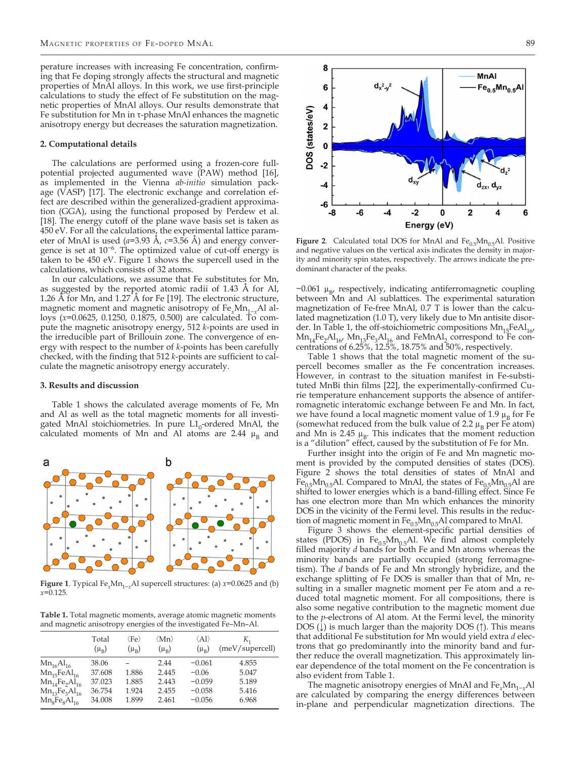perature increases with increasing Fe concentration, confirming that Fe doping strongly affects the structural and magnetic properties of MnAl alloys. In this work, we use first-principle calculations to study the effect of Fe substitution on the magnetic properties of MnAl alloys. Our results demonstrate that Fe substitution for Mn in τ-phase MnAl enhances the magnetic anisotropy energy but decreases the saturation magnetization.

#### **2. Computational details**

The calculations are performed using a frozen-core fullpotential projected augumented wave (PAW) method [16], as implemented in the Vienna *ab-initio* simulation package (VASP) [17]. The electronic exchange and correlation effect are described within the generalized-gradient approximation (GGA), using the functional proposed by Perdew et al. [18]. The energy cutoff of the plane wave basis set is taken as  $450$  eV. For all the calculations, the experimental lattice parameter of MnAl is used (*a*=3.93 Å, *c*=3.56 Å) and energy convergence is set at 10−6. The optimized value of cut-off energy is taken to be 450 eV. Figure 1 shows the supercell used in the calculations, which consists of 32 atoms.

In our calculations, we assume that Fe substitutes for Mn, as suggested by the reported atomic radii of 1.43 Å for Al, 1.26 Å for Mn, and 1.27 Å for Fe [19]. The electronic structure, magnetic moment and magnetic anisotropy of Fe<sub>*x*</sub>Mn<sub>1−*x*</sub>Al alloys (*x*=0.0625, 0.1250, 0.1875, 0.500) are calculated. To compute the magnetic anisotropy energy, 512 *k*-points are used in the irreducible part of Brillouin zone. The convergence of energy with respect to the number of *k*-points has been carefully checked, with the finding that 512 *k*-points are sufficient to calculate the magnetic anisotropy energy accurately.

#### **3. Results and discussion**

a

Table 1 shows the calculated average moments of Fe, Mn and Al as well as the total magnetic moments for all investigated MnAl stoichiometries. In pure  $L1_0$ -ordered MnAl, the calculated moments of Mn and Al atoms are 2.44  $\mu_B$  and

b



**Table 1.** Total magnetic moments, average atomic magnetic moments and magnetic anisotropy energies of the investigated Fe–Mn–Al.

|                                                                                                         | Total                                         | $\langle \rm Fe \rangle$         | $\langle \mathrm{Mn} \rangle$            | $\langle$ Al $\rangle$                                  | К,                                        |
|---------------------------------------------------------------------------------------------------------|-----------------------------------------------|----------------------------------|------------------------------------------|---------------------------------------------------------|-------------------------------------------|
|                                                                                                         | $(\mu_{\rm B})$                               | $(\mu_R)$                        | $(\mu_{\rm B})$                          | $(\mu_{\rm B})$                                         | (meV/supercell)                           |
| $Mn_{16}Al_{16}$<br>$Mn_{15}FeAl_{16}$<br>$Mn_{14}Fe_2Al_{16}$<br>$Mn_{13}Fe3Al16$<br>$Mn_8Fe_8Al_{16}$ | 38.06<br>37.608<br>37.023<br>36.754<br>34.008 | 1.886<br>1.885<br>1.924<br>1.899 | 2.44<br>2.445<br>2.443<br>2.455<br>2.461 | $-0.061$<br>$-0.06$<br>$-0.059$<br>$-0.058$<br>$-0.056$ | 4.855<br>5.047<br>5.189<br>5.416<br>6.968 |



**Figure 2**. Calculated total DOS for MnAl and  $Fe_{0.5}Mn_{0.5}$ Al. Positive and negative values on the vertical axis indicates the density in majority and minority spin states, respectively. The arrows indicate the predominant character of the peaks.

−0.061 µ<sub>B</sub>, respectively, indicating antiferromagnetic coupling between Mn and Al sublattices. The experimental saturation magnetization of Fe-free MnAl, 0.7 T is lower than the calculated magnetization (1.0 T), very likely due to Mn antisite disorder. In Table 1, the off-stoichiometric compositions  $Mn_{15}FeAl_{16}$ Mn<sub>14</sub>Fe<sub>2</sub>Al<sub>16</sub>, Mn<sub>13</sub>Fe<sub>3</sub>Al<sub>16</sub> and FeMnAl<sub>2</sub> correspond to Fe con-<br>centrations of 6.25%, 12.5%, 18.75% and 50%, respectively.

Table 1 shows that the total magnetic moment of the supercell becomes smaller as the Fe concentration increases. However, in contrast to the situation manifest in Fe-substituted MnBi thin films [22], the experimentally-confirmed Curie temperature enhancement supports the absence of antiferromagnetic interatomic exchange between Fe and Mn. In fact, we have found a local magnetic moment value of 1.9  $\mu_B$  for Fe (somewhat reduced from the bulk value of 2.2  $\mu_B$  per Fe atom) and Mn is 2.45  $\mu_B$ . This indicates that the moment reduction is a "dilution" effect, caused by the substitution of Fe for Mn.

Further insight into the origin of Fe and Mn magnetic moment is provided by the computed densities of states (DOS). Figure 2 shows the total densities of states of MnAl and  $Fe_{0.5}Mn_{0.5}$ Al. Compared to MnAl, the states of  $Fe_{0.5}Mn_{0.5}$ Al are shifted to lower energies which is a band-filling effect. Since Fe has one electron more than Mn which enhances the minority DOS in the vicinity of the Fermi level. This results in the reduction of magnetic moment in  $Fe<sub>0.5</sub>Mn<sub>0.5</sub>Al$  compared to MnAl.

Figure 3 shows the element-specific partial densities of states (PDOS) in  $Fe<sub>0.5</sub>Mn<sub>0.5</sub>Al$ . We find almost completely filled majority *d* bands for both Fe and Mn atoms whereas the minority bands are partially occupied (strong ferromagnetism). The *d* bands of Fe and Mn strongly hybridize, and the exchange splitting of Fe DOS is smaller than that of Mn, resulting in a smaller magnetic moment per Fe atom and a reduced total magnetic moment. For all compositions, there is also some negative contribution to the magnetic moment due to the *p*-electrons of Al atom. At the Fermi level, the minority DOS ( $\downarrow$ ) is much larger than the majority DOS ( $\uparrow$ ). This means that additional Fe substitution for Mn would yield extra *d* electrons that go predominantly into the minority band and further reduce the overall magnetization. This approximately linear dependence of the total moment on the Fe concentration is also evident from Table 1.

The magnetic anisotropy energies of MnAl and Fe<sub>x</sub>Mn<sub>1-*x*</sub>Al are calculated by comparing the energy differences between in-plane and perpendicular magnetization directions. The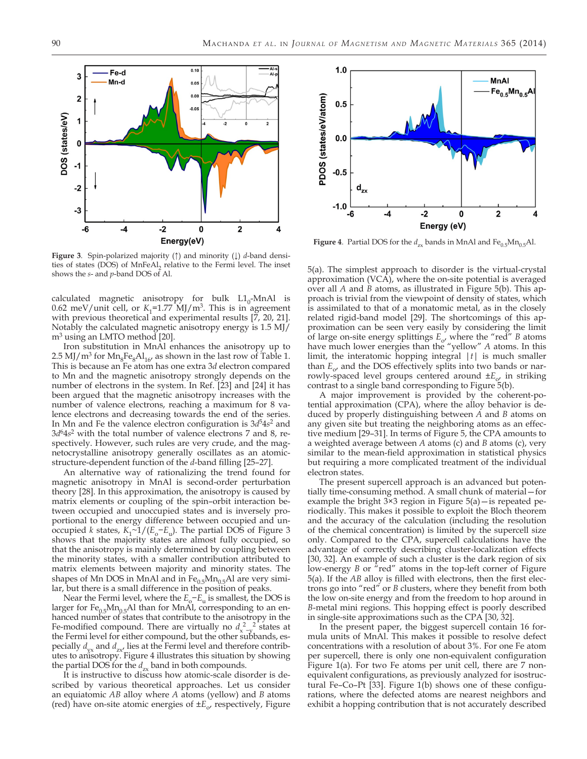

**Figure 3.** Spin-polarized majority (↑) and minority (↓) *d*-band densities of states (DOS) of MnFeAl, relative to the Fermi level. The inset shows the *s*- and *p*-band DOS of Al.

calculated magnetic anisotropy for bulk  $L1_0$ -MnAl is 0.62 meV/unit cell, or  $K_1$ =1.77 MJ/m<sup>3</sup>. This is in agreement with previous theoretical and experimental results [7, 20, 21]. Notably the calculated magnetic anisotropy energy is 1.5 MJ/ m<sup>3</sup> using an LMTO method [20].

Iron substitution in MnAl enhances the anisotropy up to 2.5 MJ/ $m^3$  for  $Mn_8Fe_8Al_{16}$ , as shown in the last row of Table 1. This is because an Fe atom has one extra 3*d* electron compared to Mn and the magnetic anisotropy strongly depends on the number of electrons in the system. In Ref. [23] and [24] it has been argued that the magnetic anisotropy increases with the number of valence electrons, reaching a maximum for 8 valence electrons and decreasing towards the end of the series. In Mn and Fe the valence electron configuration is  $3d^54s^2$  and 3*d*64*s*2 with the total number of valence electrons 7 and 8, respectively. However, such rules are very crude, and the magnetocrystalline anisotropy generally oscillates as an atomicstructure-dependent function of the *d*-band filling [25–27].

An alternative way of rationalizing the trend found for magnetic anisotropy in MnAl is second-order perturbation theory [28]. In this approximation, the anisotropy is caused by matrix elements or coupling of the spin–orbit interaction between occupied and unoccupied states and is inversely proportional to the energy difference between occupied and unoccupied *k* states,  $K_1 \sim 1/(E_0 - E_u)$ . The partial DOS of Figure 3 shows that the majority states are almost fully occupied, so that the anisotropy is mainly determined by coupling between the minority states, with a smaller contribution attributed to matrix elements between majority and minority states. The shapes of Mn DOS in MnAl and in  $Fe<sub>0.5</sub>Mn<sub>0.5</sub>$ Al are very similar, but there is a small difference in the position of peaks.

Near the Fermi level, where the *E*<sub>o</sub>−*E*<sub>u</sub> is smallest, the DOS is larger for  $Fe_{0.5}Mn_{0.5}$ Al than for MnAl, corresponding to an enhanced number of states that contribute to the anisotropy in the Fe-modified compound. There are virtually no  $d_{x-y}^2$  states at the Fermi level for either compound, but the other subbands, especially  $d_{vx}$  and  $d_{zx}$  lies at the Fermi level and therefore contributes to anisotropy. Figure 4 illustrates this situation by showing the partial DOS for the  $d_{zx}$  band in both compounds.

It is instructive to discuss how atomic-scale disorder is described by various theoretical approaches. Let us consider an equiatomic *AB* alloy where *A* atoms (yellow) and *B* atoms (red) have on-site atomic energies of  $\pm E_{\alpha}$ , respectively, Figure



**Figure 4**. Partial DOS for the  $d_{zx}$  bands in MnAl and  $Fe_{0.5}Mn_{0.5}$ Al.

5(a). The simplest approach to disorder is the virtual-crystal approximation (VCA), where the on-site potential is averaged over all *A* and *B* atoms, as illustrated in Figure 5(b). This approach is trivial from the viewpoint of density of states, which is assimilated to that of a monatomic metal, as in the closely related rigid-band model [29]. The shortcomings of this approximation can be seen very easily by considering the limit of large on-site energy splittings *E*o, where the "red" *B* atoms have much lower energies than the "yellow" *A* atoms. In this limit, the interatomic hopping integral |*t*| is much smaller than  $E_{\alpha}$  and the DOS effectively splits into two bands or narrowly-spaced level groups centered around  $\pm E_{\alpha}$  in striking contrast to a single band corresponding to Figure 5(b).

A major improvement is provided by the coherent-potential approximation (CPA), where the alloy behavior is deduced by properly distinguishing between *A* and *B* atoms on any given site but treating the neighboring atoms as an effective medium [29–31]. In terms of Figure 5, the CPA amounts to a weighted average between *A* atoms (c) and *B* atoms (c), very similar to the mean-field approximation in statistical physics but requiring a more complicated treatment of the individual electron states.

The present supercell approach is an advanced but potentially time-consuming method. A small chunk of material—for example the bright 3×3 region in Figure 5(a)—is repeated periodically. This makes it possible to exploit the Bloch theorem and the accuracy of the calculation (including the resolution of the chemical concentration) is limited by the supercell size only. Compared to the CPA, supercell calculations have the advantage of correctly describing cluster-localization effects [30, 32]. An example of such a cluster is the dark region of six low-energy *B* or "red" atoms in the top-left corner of Figure 5(a). If the *AB* alloy is filled with electrons, then the first electrons go into "red" or *B* clusters, where they benefit from both the low on-site energy and from the freedom to hop around in *B*-metal mini regions. This hopping effect is poorly described in single-site approximations such as the CPA [30, 32].

In the present paper, the biggest supercell contain 16 formula units of MnAl. This makes it possible to resolve defect concentrations with a resolution of about 3%. For one Fe atom per supercell, there is only one non-equivalent configuration Figure 1(a). For two Fe atoms per unit cell, there are 7 nonequivalent configurations, as previously analyzed for isostructural Fe–Co–Pt [33]. Figure 1(b) shows one of these configurations, where the defected atoms are nearest neighbors and exhibit a hopping contribution that is not accurately described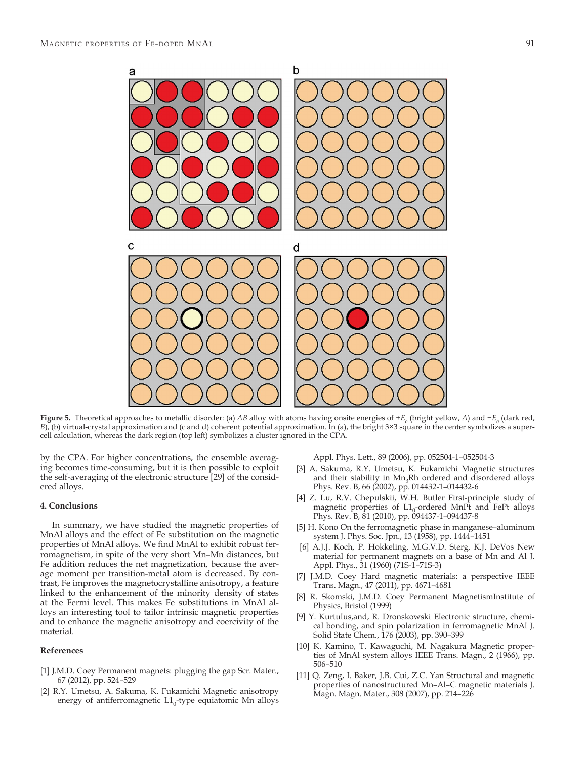

**Figure 5.** Theoretical approaches to metallic disorder: (a) *AB* alloy with atoms having onsite energies of +*Eo* (bright yellow, *A*) and −*Eo* (dark red, *B*), (b) virtual-crystal approximation and (c and d) coherent potential approximation. In (a), the bright 3×3 square in the center symbolizes a supercell calculation, whereas the dark region (top left) symbolizes a cluster ignored in the CPA.

by the CPA. For higher concentrations, the ensemble averaging becomes time-consuming, but it is then possible to exploit the self-averaging of the electronic structure [29] of the considered alloys.

#### **4. Conclusions**

In summary, we have studied the magnetic properties of MnAl alloys and the effect of Fe substitution on the magnetic properties of MnAl alloys. We find MnAl to exhibit robust ferromagnetism, in spite of the very short Mn–Mn distances, but Fe addition reduces the net magnetization, because the average moment per transition-metal atom is decreased. By contrast, Fe improves the magnetocrystalline anisotropy, a feature linked to the enhancement of the minority density of states at the Fermi level. This makes Fe substitutions in MnAl alloys an interesting tool to tailor intrinsic magnetic properties and to enhance the magnetic anisotropy and coercivity of the material.

#### **References**

- [1] J.M.D. Coey Permanent magnets: plugging the gap Scr. Mater., 67 (2012), pp. 524–529
- [2] R.Y. Umetsu, A. Sakuma, K. Fukamichi Magnetic anisotropy energy of antiferromagnetic  $L1_0$ -type equiatomic Mn alloys

Appl. Phys. Lett., 89 (2006), pp. 052504-1–052504-3

- [3] A. Sakuma, R.Y. Umetsu, K. Fukamichi Magnetic structures and their stability in Mn<sub>3</sub>Rh ordered and disordered alloys Phys. Rev. B, 66 (2002), pp. 014432-1–014432-6
- [4] Z. Lu, R.V. Chepulskii, W.H. Butler First-principle study of magnetic properties of  $L1_0$ -ordered MnPt and FePt alloys Phys. Rev. B, 81 (2010), pp. 094437-1–094437-8
- [5] H. Kono On the ferromagnetic phase in manganese–aluminum system J. Phys. Soc. Jpn., 13 (1958), pp. 1444–1451
- [6] A.J.J. Koch, P. Hokkeling, M.G.V.D. Sterg, K.J. DeVos New material for permanent magnets on a base of Mn and Al J. Appl. Phys., 31 (1960) (71S-1–71S-3)
- [7] J.M.D. Coey Hard magnetic materials: a perspective IEEE Trans. Magn., 47 (2011), pp. 4671–4681
- R. Skomski, J.M.D. Coey Permanent MagnetismInstitute of Physics, Bristol (1999)
- [9] Y. Kurtulus,and, R. Dronskowski Electronic structure, chemical bonding, and spin polarization in ferromagnetic MnAl J. Solid State Chem., 176 (2003), pp. 390–399
- [10] K. Kamino, T. Kawaguchi, M. Nagakura Magnetic properties of MnAl system alloys IEEE Trans. Magn., 2 (1966), pp. 506–510
- [11] Q. Zeng, I. Baker, J.B. Cui, Z.C. Yan Structural and magnetic properties of nanostructured Mn–Al–C magnetic materials J. Magn. Magn. Mater., 308 (2007), pp. 214–226